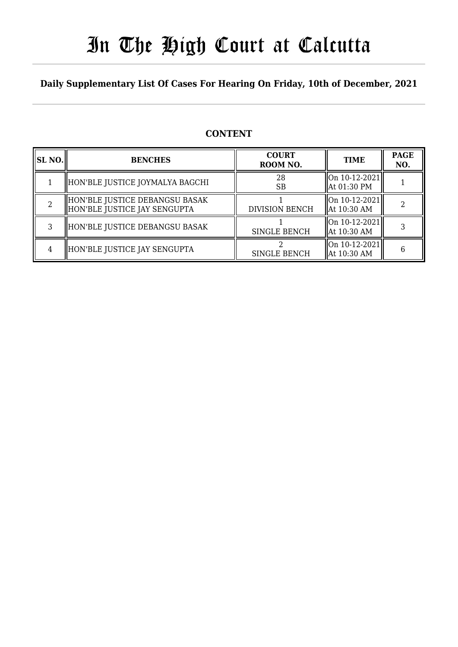# In The High Court at Calcutta

## **Daily Supplementary List Of Cases For Hearing On Friday, 10th of December, 2021**

# **CONTENT**

| SL NO. | <b>BENCHES</b>                                                 | <b>COURT</b><br>ROOM NO. | <b>TIME</b>                                    | <b>PAGE</b><br>NO. |
|--------|----------------------------------------------------------------|--------------------------|------------------------------------------------|--------------------|
|        | HON'BLE JUSTICE JOYMALYA BAGCHI                                | 28<br>SB                 | $\vert$ On 10-12-2021 $\vert$<br>  At 01:30 PM |                    |
|        | HON'BLE JUSTICE DEBANGSU BASAK<br>HON'BLE JUSTICE JAY SENGUPTA | <b>DIVISION BENCH</b>    | $\vert$ On 10-12-2021 $\vert$<br>At 10:30 AM   |                    |
|        | HON'BLE JUSTICE DEBANGSU BASAK                                 | <b>SINGLE BENCH</b>      | On 10-12-2021<br>At 10:30 AM                   |                    |
|        | HON'BLE JUSTICE JAY SENGUPTA                                   | <b>SINGLE BENCH</b>      | On 10-12-2021 <br>At 10:30 AM                  | 6                  |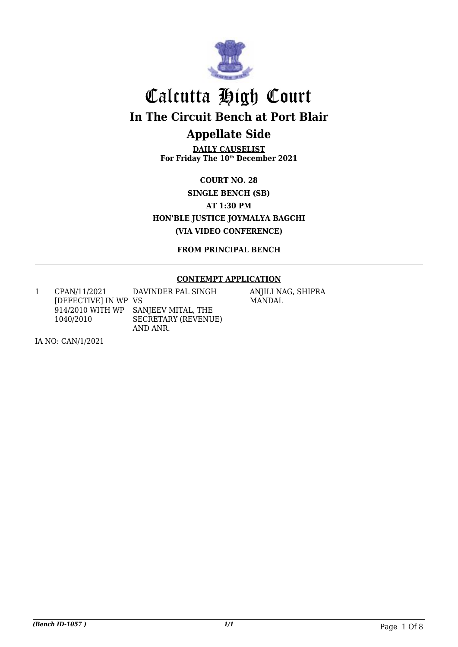

# Calcutta High Court **In The Circuit Bench at Port Blair Appellate Side**

**DAILY CAUSELIST For Friday The 10th December 2021**

**COURT NO. 28 SINGLE BENCH (SB) AT 1:30 PM HON'BLE JUSTICE JOYMALYA BAGCHI (VIA VIDEO CONFERENCE)**

**FROM PRINCIPAL BENCH**

### **CONTEMPT APPLICATION**

1 CPAN/11/2021 [DEFECTIVE] IN WP VS 914/2010 WITH WP 1040/2010 DAVINDER PAL SINGH SANJEEV MITAL, THE SECRETARY (REVENUE) AND ANR.

ANJILI NAG, SHIPRA MANDAL

IA NO: CAN/1/2021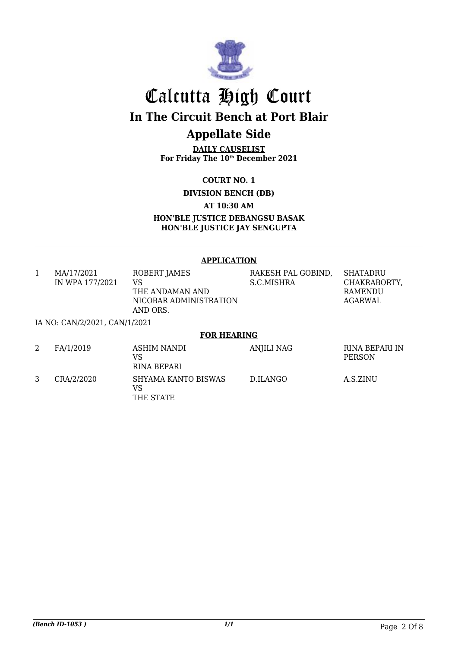

# Calcutta High Court **In The Circuit Bench at Port Blair Appellate Side**

## **DAILY CAUSELIST For Friday The 10th December 2021**

**COURT NO. 1**

**DIVISION BENCH (DB)**

**AT 10:30 AM**

**HON'BLE JUSTICE DEBANGSU BASAK HON'BLE JUSTICE JAY SENGUPTA**

#### **APPLICATION**

| 1 | MA/17/2021                    | ROBERT JAMES             | RAKESH PAL GOBIND, | <b>SHATADRU</b>                 |
|---|-------------------------------|--------------------------|--------------------|---------------------------------|
|   | IN WPA 177/2021               | VS                       | S.C.MISHRA         | CHAKRABORTY,                    |
|   |                               | THE ANDAMAN AND          |                    | <b>RAMENDU</b>                  |
|   |                               | NICOBAR ADMINISTRATION   |                    | AGARWAL                         |
|   |                               | AND ORS.                 |                    |                                 |
|   | IA NO: CAN/2/2021, CAN/1/2021 |                          |                    |                                 |
|   |                               | <b>FOR HEARING</b>       |                    |                                 |
|   | FA/1/2019                     | <b>ASHIM NANDI</b><br>VS | <b>ANJILI NAG</b>  | RINA BEPARI IN<br><b>PERSON</b> |

|            | VS<br>RINA BEPARI                      |          | PERSON   |
|------------|----------------------------------------|----------|----------|
| CRA/2/2020 | SHYAMA KANTO BISWAS<br>VS<br>THE STATE | D.ILANGO | A.S.ZINU |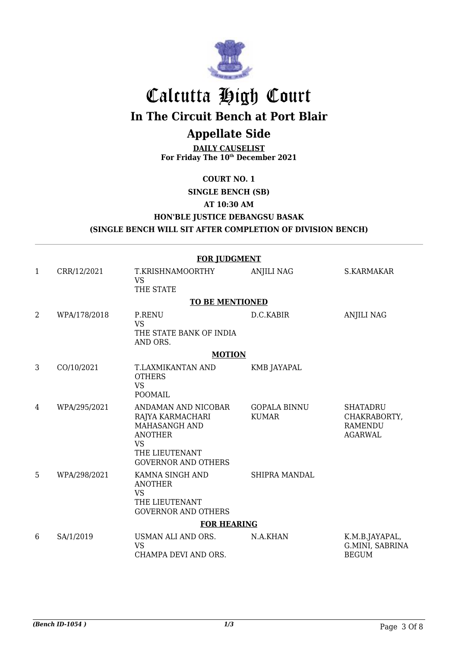

# Calcutta High Court

**In The Circuit Bench at Port Blair**

# **Appellate Side**

**DAILY CAUSELIST For Friday The 10th December 2021**

### **COURT NO. 1**

**SINGLE BENCH (SB)**

### **AT 10:30 AM**

**HON'BLE JUSTICE DEBANGSU BASAK**

**(SINGLE BENCH WILL SIT AFTER COMPLETION OF DIVISION BENCH)**

|                | <b>FOR JUDGMENT</b> |                                                                                                                                         |                                     |                                                                     |  |
|----------------|---------------------|-----------------------------------------------------------------------------------------------------------------------------------------|-------------------------------------|---------------------------------------------------------------------|--|
| 1              | CRR/12/2021         | T.KRISHNAMOORTHY<br><b>VS</b><br>THE STATE                                                                                              | <b>ANJILI NAG</b>                   | S.KARMAKAR                                                          |  |
|                |                     | <b>TO BE MENTIONED</b>                                                                                                                  |                                     |                                                                     |  |
| $\overline{2}$ | WPA/178/2018        | <b>P.RENU</b><br><b>VS</b><br>THE STATE BANK OF INDIA<br>AND ORS.                                                                       | D.C.KABIR                           | <b>ANJILI NAG</b>                                                   |  |
|                |                     | <b>MOTION</b>                                                                                                                           |                                     |                                                                     |  |
| 3              | CO/10/2021          | T.LAXMIKANTAN AND<br><b>OTHERS</b><br><b>VS</b><br><b>POOMAIL</b>                                                                       | KMB JAYAPAL                         |                                                                     |  |
| 4              | WPA/295/2021        | ANDAMAN AND NICOBAR<br>RAJYA KARMACHARI<br>MAHASANGH AND<br><b>ANOTHER</b><br><b>VS</b><br>THE LIEUTENANT<br><b>GOVERNOR AND OTHERS</b> | <b>GOPALA BINNU</b><br><b>KUMAR</b> | <b>SHATADRU</b><br>CHAKRABORTY,<br><b>RAMENDU</b><br><b>AGARWAL</b> |  |
| 5              | WPA/298/2021        | KAMNA SINGH AND<br><b>ANOTHER</b><br><b>VS</b><br>THE LIEUTENANT<br><b>GOVERNOR AND OTHERS</b>                                          | <b>SHIPRA MANDAL</b>                |                                                                     |  |
|                |                     | <b>FOR HEARING</b>                                                                                                                      |                                     |                                                                     |  |
| 6              | SA/1/2019           | USMAN ALI AND ORS.<br><b>VS</b><br>CHAMPA DEVI AND ORS.                                                                                 | N.A.KHAN                            | K.M.B.JAYAPAL,<br>G.MINI, SABRINA<br><b>BEGUM</b>                   |  |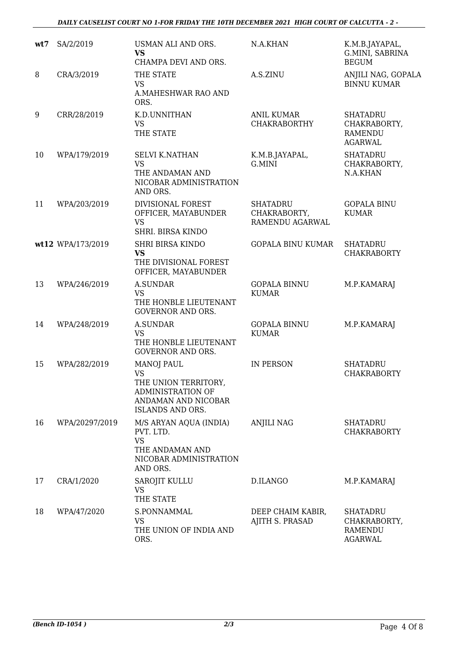#### *DAILY CAUSELIST COURT NO 1-FOR FRIDAY THE 10TH DECEMBER 2021 HIGH COURT OF CALCUTTA - 2 -*

| wt7 | SA/2/2019         | USMAN ALI AND ORS.<br><b>VS</b><br>CHAMPA DEVI AND ORS.                                                                              | N.A.KHAN                                           | K.M.B.JAYAPAL,<br>G.MINI, SABRINA<br><b>BEGUM</b>                   |
|-----|-------------------|--------------------------------------------------------------------------------------------------------------------------------------|----------------------------------------------------|---------------------------------------------------------------------|
| 8   | CRA/3/2019        | THE STATE<br><b>VS</b><br>A.MAHESHWAR RAO AND<br>ORS.                                                                                | A.S.ZINU                                           | ANJILI NAG, GOPALA<br><b>BINNU KUMAR</b>                            |
| 9   | CRR/28/2019       | K.D.UNNITHAN<br><b>VS</b><br>THE STATE                                                                                               | <b>ANIL KUMAR</b><br><b>CHAKRABORTHY</b>           | <b>SHATADRU</b><br>CHAKRABORTY,<br><b>RAMENDU</b><br><b>AGARWAL</b> |
| 10  | WPA/179/2019      | <b>SELVI K.NATHAN</b><br><b>VS</b><br>THE ANDAMAN AND<br>NICOBAR ADMINISTRATION<br>AND ORS.                                          | K.M.B.JAYAPAL,<br>G.MINI                           | <b>SHATADRU</b><br>CHAKRABORTY,<br>N.A.KHAN                         |
| 11  | WPA/203/2019      | DIVISIONAL FOREST<br>OFFICER, MAYABUNDER<br><b>VS</b><br>SHRI. BIRSA KINDO                                                           | <b>SHATADRU</b><br>CHAKRABORTY,<br>RAMENDU AGARWAL | <b>GOPALA BINU</b><br><b>KUMAR</b>                                  |
|     | wt12 WPA/173/2019 | <b>SHRI BIRSA KINDO</b><br><b>VS</b><br>THE DIVISIONAL FOREST<br>OFFICER, MAYABUNDER                                                 | <b>GOPALA BINU KUMAR</b>                           | <b>SHATADRU</b><br><b>CHAKRABORTY</b>                               |
| 13  | WPA/246/2019      | <b>A.SUNDAR</b><br><b>VS</b><br>THE HONBLE LIEUTENANT<br><b>GOVERNOR AND ORS.</b>                                                    | <b>GOPALA BINNU</b><br><b>KUMAR</b>                | M.P.KAMARAJ                                                         |
| 14  | WPA/248/2019      | <b>A.SUNDAR</b><br><b>VS</b><br>THE HONBLE LIEUTENANT<br><b>GOVERNOR AND ORS.</b>                                                    | <b>GOPALA BINNU</b><br><b>KUMAR</b>                | M.P.KAMARAJ                                                         |
| 15  | WPA/282/2019      | <b>MANOJ PAUL</b><br><b>VS</b><br>THE UNION TERRITORY,<br><b>ADMINISTRATION OF</b><br>ANDAMAN AND NICOBAR<br><b>ISLANDS AND ORS.</b> | <b>IN PERSON</b>                                   | <b>SHATADRU</b><br><b>CHAKRABORTY</b>                               |
| 16  | WPA/20297/2019    | M/S ARYAN AQUA (INDIA)<br>PVT. LTD.<br><b>VS</b><br>THE ANDAMAN AND<br>NICOBAR ADMINISTRATION<br>AND ORS.                            | <b>ANJILI NAG</b>                                  | <b>SHATADRU</b><br><b>CHAKRABORTY</b>                               |
| 17  | CRA/1/2020        | <b>SAROJIT KULLU</b><br><b>VS</b><br>THE STATE                                                                                       | D.ILANGO                                           | M.P.KAMARAJ                                                         |
| 18  | WPA/47/2020       | S.PONNAMMAL<br><b>VS</b><br>THE UNION OF INDIA AND<br>ORS.                                                                           | DEEP CHAIM KABIR,<br>AJITH S. PRASAD               | <b>SHATADRU</b><br>CHAKRABORTY,<br>RAMENDU<br><b>AGARWAL</b>        |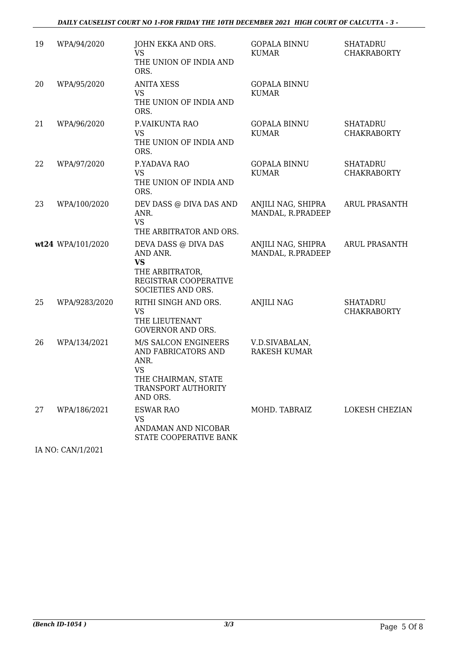#### *DAILY CAUSELIST COURT NO 1-FOR FRIDAY THE 10TH DECEMBER 2021 HIGH COURT OF CALCUTTA - 3 -*

| 19 | WPA/94/2020       | JOHN EKKA AND ORS.<br><b>VS</b><br>THE UNION OF INDIA AND<br>ORS.                                                                 | <b>GOPALA BINNU</b><br><b>KUMAR</b>     | <b>SHATADRU</b><br><b>CHAKRABORTY</b> |
|----|-------------------|-----------------------------------------------------------------------------------------------------------------------------------|-----------------------------------------|---------------------------------------|
| 20 | WPA/95/2020       | <b>ANITA XESS</b><br>VS<br>THE UNION OF INDIA AND<br>ORS.                                                                         | <b>GOPALA BINNU</b><br><b>KUMAR</b>     |                                       |
| 21 | WPA/96/2020       | P.VAIKUNTA RAO<br><b>VS</b><br>THE UNION OF INDIA AND<br>ORS.                                                                     | <b>GOPALA BINNU</b><br><b>KUMAR</b>     | <b>SHATADRU</b><br><b>CHAKRABORTY</b> |
| 22 | WPA/97/2020       | P.YADAVA RAO<br><b>VS</b><br>THE UNION OF INDIA AND<br>ORS.                                                                       | <b>GOPALA BINNU</b><br><b>KUMAR</b>     | <b>SHATADRU</b><br><b>CHAKRABORTY</b> |
| 23 | WPA/100/2020      | DEV DASS @ DIVA DAS AND<br>ANR.<br><b>VS</b><br>THE ARBITRATOR AND ORS.                                                           | ANJILI NAG, SHIPRA<br>MANDAL, R.PRADEEP | <b>ARUL PRASANTH</b>                  |
|    | wt24 WPA/101/2020 | DEVA DASS @ DIVA DAS<br>AND ANR.<br><b>VS</b><br>THE ARBITRATOR,<br>REGISTRAR COOPERATIVE<br>SOCIETIES AND ORS.                   | ANJILI NAG, SHIPRA<br>MANDAL, R.PRADEEP | <b>ARUL PRASANTH</b>                  |
| 25 | WPA/9283/2020     | RITHI SINGH AND ORS.<br><b>VS</b><br>THE LIEUTENANT<br><b>GOVERNOR AND ORS.</b>                                                   | <b>ANJILI NAG</b>                       | <b>SHATADRU</b><br><b>CHAKRABORTY</b> |
| 26 | WPA/134/2021      | M/S SALCON ENGINEERS<br>AND FABRICATORS AND<br>ANR.<br><b>VS</b><br>THE CHAIRMAN, STATE<br><b>TRANSPORT AUTHORITY</b><br>AND ORS. | V.D.SIVABALAN,<br><b>RAKESH KUMAR</b>   |                                       |
| 27 | WPA/186/2021      | <b>ESWAR RAO</b><br><b>VS</b><br>ANDAMAN AND NICOBAR<br>STATE COOPERATIVE BANK                                                    | MOHD. TABRAIZ                           | <b>LOKESH CHEZIAN</b>                 |

IA NO: CAN/1/2021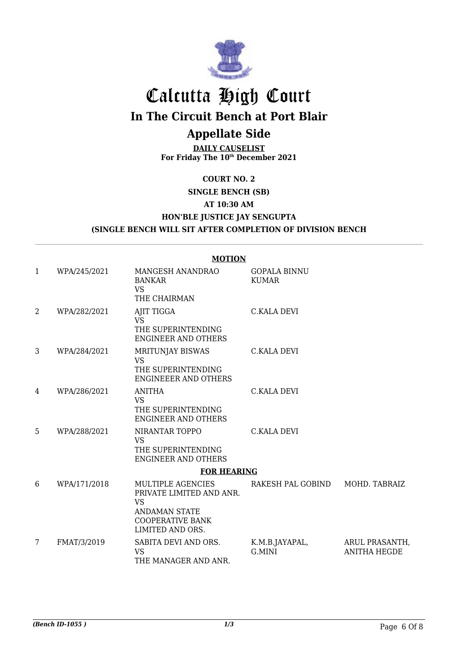

# Calcutta High Court **In The Circuit Bench at Port Blair**

# **Appellate Side**

## **DAILY CAUSELIST For Friday The 10th December 2021**

## **COURT NO. 2 SINGLE BENCH (SB) AT 10:30 AM HON'BLE JUSTICE JAY SENGUPTA (SINGLE BENCH WILL SIT AFTER COMPLETION OF DIVISION BENCH**

|                |              | <b>MOTION</b>                                                                                                                            |                                     |                                       |
|----------------|--------------|------------------------------------------------------------------------------------------------------------------------------------------|-------------------------------------|---------------------------------------|
| $\mathbf{1}$   | WPA/245/2021 | MANGESH ANANDRAO<br><b>BANKAR</b><br><b>VS</b><br>THE CHAIRMAN                                                                           | <b>GOPALA BINNU</b><br><b>KUMAR</b> |                                       |
| $\overline{2}$ | WPA/282/2021 | AJIT TIGGA<br><b>VS</b><br>THE SUPERINTENDING<br><b>ENGINEER AND OTHERS</b>                                                              | <b>C.KALA DEVI</b>                  |                                       |
| 3              | WPA/284/2021 | MRITUNJAY BISWAS<br><b>VS</b><br>THE SUPERINTENDING<br><b>ENGINEEER AND OTHERS</b>                                                       | <b>C.KALA DEVI</b>                  |                                       |
| 4              | WPA/286/2021 | <b>ANITHA</b><br><b>VS</b><br>THE SUPERINTENDING<br><b>ENGINEER AND OTHERS</b>                                                           | <b>C.KALA DEVI</b>                  |                                       |
| 5              | WPA/288/2021 | NIRANTAR TOPPO<br><b>VS</b><br>THE SUPERINTENDING<br><b>ENGINEER AND OTHERS</b>                                                          | <b>C.KALA DEVI</b>                  |                                       |
|                |              | <b>FOR HEARING</b>                                                                                                                       |                                     |                                       |
| 6              | WPA/171/2018 | <b>MULTIPLE AGENCIES</b><br>PRIVATE LIMITED AND ANR.<br><b>VS</b><br><b>ANDAMAN STATE</b><br><b>COOPERATIVE BANK</b><br>LIMITED AND ORS. | RAKESH PAL GOBIND                   | MOHD. TABRAIZ                         |
| 7              | FMAT/3/2019  | SABITA DEVI AND ORS.<br><b>VS</b><br>THE MANAGER AND ANR.                                                                                | K.M.B.JAYAPAL,<br>G.MINI            | ARUL PRASANTH,<br><b>ANITHA HEGDE</b> |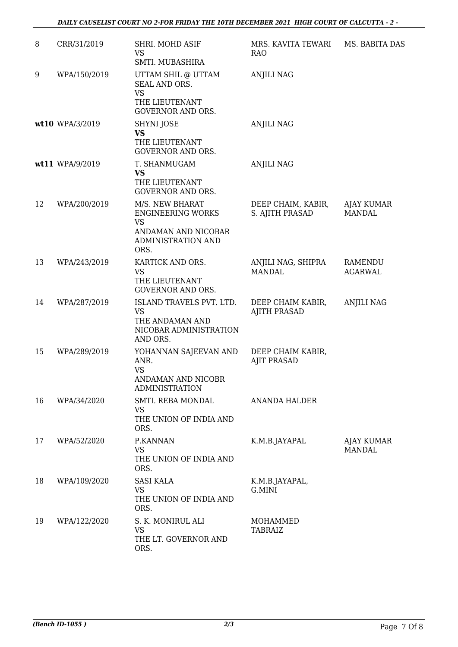| 8  | CRR/31/2019     | SHRI. MOHD ASIF<br>VS<br>SMTI. MUBASHIRA                                                                      | MRS. KAVITA TEWARI<br><b>RAO</b>         | MS. BABITA DAS              |
|----|-----------------|---------------------------------------------------------------------------------------------------------------|------------------------------------------|-----------------------------|
| 9  | WPA/150/2019    | UTTAM SHIL @ UTTAM<br>SEAL AND ORS.<br><b>VS</b><br>THE LIEUTENANT<br><b>GOVERNOR AND ORS.</b>                | <b>ANJILI NAG</b>                        |                             |
|    | wt10 WPA/3/2019 | SHYNI JOSE<br><b>VS</b><br>THE LIEUTENANT<br><b>GOVERNOR AND ORS.</b>                                         | ANJILI NAG                               |                             |
|    | wt11 WPA/9/2019 | T. SHANMUGAM<br><b>VS</b><br>THE LIEUTENANT<br><b>GOVERNOR AND ORS.</b>                                       | <b>ANJILI NAG</b>                        |                             |
| 12 | WPA/200/2019    | M/S. NEW BHARAT<br><b>ENGINEERING WORKS</b><br><b>VS</b><br>ANDAMAN AND NICOBAR<br>ADMINISTRATION AND<br>ORS. | DEEP CHAIM, KABIR,<br>S. AJITH PRASAD    | AJAY KUMAR<br><b>MANDAL</b> |
| 13 | WPA/243/2019    | KARTICK AND ORS.<br><b>VS</b><br>THE LIEUTENANT<br><b>GOVERNOR AND ORS.</b>                                   | ANJILI NAG, SHIPRA<br><b>MANDAL</b>      | RAMENDU<br><b>AGARWAL</b>   |
| 14 | WPA/287/2019    | ISLAND TRAVELS PVT. LTD.<br><b>VS</b><br>THE ANDAMAN AND<br>NICOBAR ADMINISTRATION<br>AND ORS.                | DEEP CHAIM KABIR,<br><b>AJITH PRASAD</b> | <b>ANJILI NAG</b>           |
| 15 | WPA/289/2019    | YOHANNAN SAJEEVAN AND<br>ANR.<br><b>VS</b><br>ANDAMAN AND NICOBR<br><b>ADMINISTRATION</b>                     | DEEP CHAIM KABIR,<br><b>AJIT PRASAD</b>  |                             |
| 16 | WPA/34/2020     | SMTI. REBA MONDAL<br>VS<br>THE UNION OF INDIA AND<br>ORS.                                                     | <b>ANANDA HALDER</b>                     |                             |
| 17 | WPA/52/2020     | P.KANNAN<br><b>VS</b><br>THE UNION OF INDIA AND<br>ORS.                                                       | K.M.B.JAYAPAL                            | AJAY KUMAR<br><b>MANDAL</b> |
| 18 | WPA/109/2020    | <b>SASI KALA</b><br><b>VS</b><br>THE UNION OF INDIA AND<br>ORS.                                               | K.M.B.JAYAPAL,<br>G.MINI                 |                             |
| 19 | WPA/122/2020    | S. K. MONIRUL ALI<br>VS<br>THE LT. GOVERNOR AND<br>ORS.                                                       | MOHAMMED<br>TABRAIZ                      |                             |